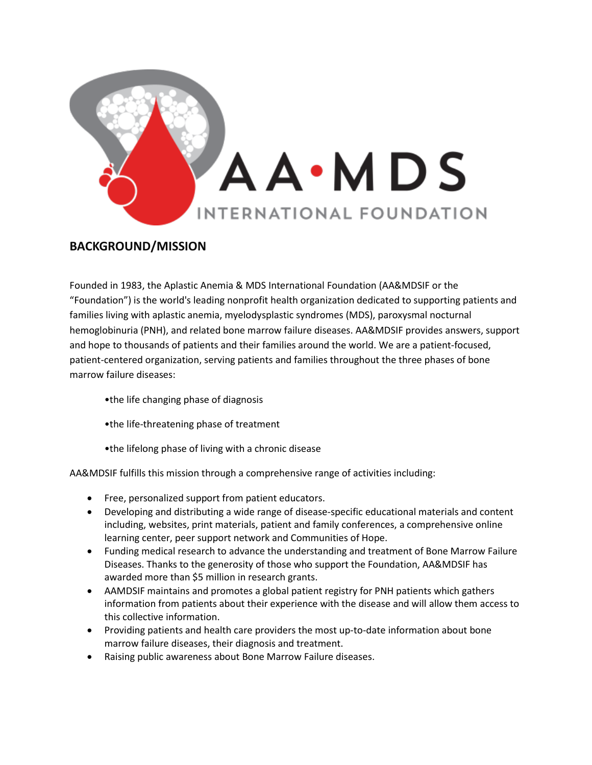

### **BACKGROUND/MISSION**

Founded in 1983, the Aplastic Anemia & MDS International Foundation (AA&MDSIF or the "Foundation") is the world's leading nonprofit health organization dedicated to supporting patients and families living with aplastic anemia, myelodysplastic syndromes (MDS), paroxysmal nocturnal hemoglobinuria (PNH), and related bone marrow failure diseases. AA&MDSIF provides answers, support and hope to thousands of patients and their families around the world. We are a patient-focused, patient-centered organization, serving patients and families throughout the three phases of bone marrow failure diseases:

- •the life changing phase of diagnosis
- •the life-threatening phase of treatment
- •the lifelong phase of living with a chronic disease

AA&MDSIF fulfills this mission through a comprehensive range of activities including:

- Free, personalized support from patient educators.
- Developing and distributing a wide range of disease-specific educational materials and content including, websites, print materials, patient and family conferences, a comprehensive online learning center, peer support network and Communities of Hope.
- Funding medical research to advance the understanding and treatment of Bone Marrow Failure Diseases. Thanks to the generosity of those who support the Foundation, AA&MDSIF has awarded more than \$5 million in research grants.
- AAMDSIF maintains and promotes a global patient registry for PNH patients which gathers information from patients about their experience with the disease and will allow them access to this collective information.
- Providing patients and health care providers the most up-to-date information about bone marrow failure diseases, their diagnosis and treatment.
- Raising public awareness about Bone Marrow Failure diseases.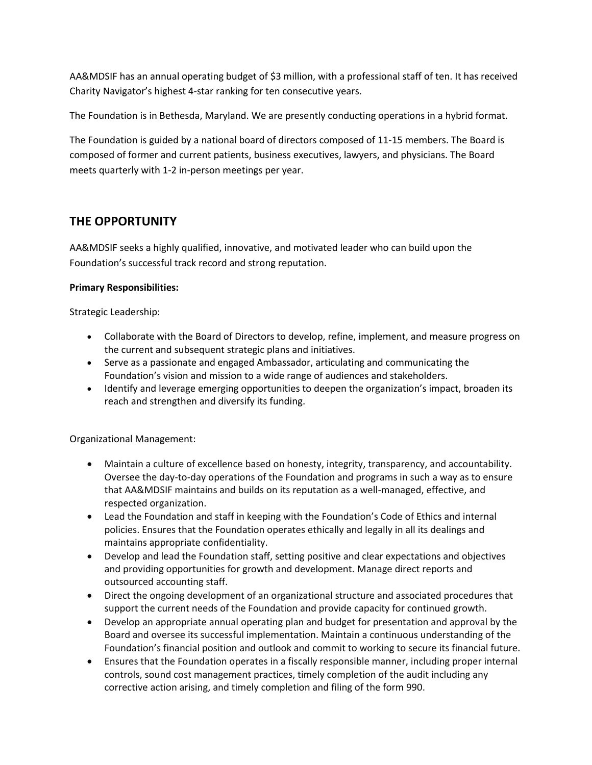AA&MDSIF has an annual operating budget of \$3 million, with a professional staff of ten. It has received Charity Navigator's highest 4-star ranking for ten consecutive years.

The Foundation is in Bethesda, Maryland. We are presently conducting operations in a hybrid format.

The Foundation is guided by a national board of directors composed of 11-15 members. The Board is composed of former and current patients, business executives, lawyers, and physicians. The Board meets quarterly with 1-2 in-person meetings per year.

## **THE OPPORTUNITY**

AA&MDSIF seeks a highly qualified, innovative, and motivated leader who can build upon the Foundation's successful track record and strong reputation.

#### **Primary Responsibilities:**

Strategic Leadership:

- Collaborate with the Board of Directors to develop, refine, implement, and measure progress on the current and subsequent strategic plans and initiatives.
- Serve as a passionate and engaged Ambassador, articulating and communicating the Foundation's vision and mission to a wide range of audiences and stakeholders.
- Identify and leverage emerging opportunities to deepen the organization's impact, broaden its reach and strengthen and diversify its funding.

Organizational Management:

- Maintain a culture of excellence based on honesty, integrity, transparency, and accountability. Oversee the day-to-day operations of the Foundation and programs in such a way as to ensure that AA&MDSIF maintains and builds on its reputation as a well-managed, effective, and respected organization.
- Lead the Foundation and staff in keeping with the Foundation's Code of Ethics and internal policies. Ensures that the Foundation operates ethically and legally in all its dealings and maintains appropriate confidentiality.
- Develop and lead the Foundation staff, setting positive and clear expectations and objectives and providing opportunities for growth and development. Manage direct reports and outsourced accounting staff.
- Direct the ongoing development of an organizational structure and associated procedures that support the current needs of the Foundation and provide capacity for continued growth.
- Develop an appropriate annual operating plan and budget for presentation and approval by the Board and oversee its successful implementation. Maintain a continuous understanding of the Foundation's financial position and outlook and commit to working to secure its financial future.
- Ensures that the Foundation operates in a fiscally responsible manner, including proper internal controls, sound cost management practices, timely completion of the audit including any corrective action arising, and timely completion and filing of the form 990.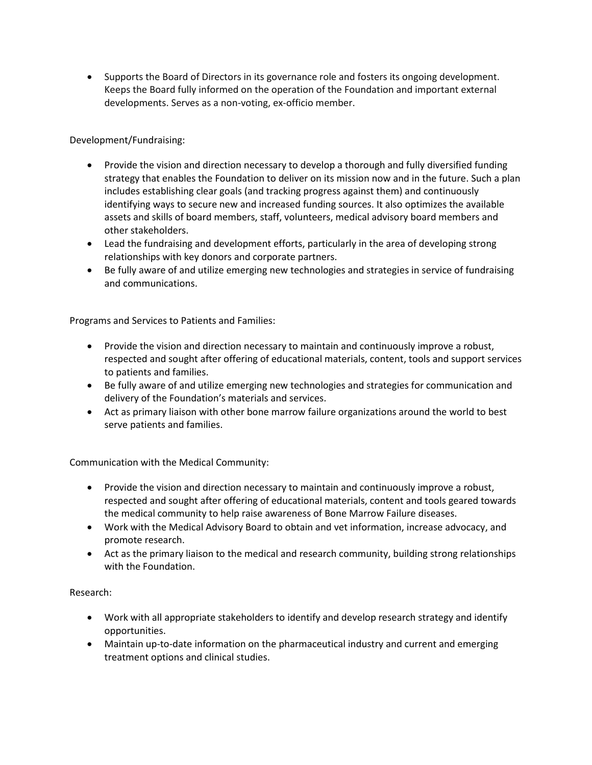• Supports the Board of Directors in its governance role and fosters its ongoing development. Keeps the Board fully informed on the operation of the Foundation and important external developments. Serves as a non-voting, ex-officio member.

Development/Fundraising:

- Provide the vision and direction necessary to develop a thorough and fully diversified funding strategy that enables the Foundation to deliver on its mission now and in the future. Such a plan includes establishing clear goals (and tracking progress against them) and continuously identifying ways to secure new and increased funding sources. It also optimizes the available assets and skills of board members, staff, volunteers, medical advisory board members and other stakeholders.
- Lead the fundraising and development efforts, particularly in the area of developing strong relationships with key donors and corporate partners.
- Be fully aware of and utilize emerging new technologies and strategies in service of fundraising and communications.

Programs and Services to Patients and Families:

- Provide the vision and direction necessary to maintain and continuously improve a robust, respected and sought after offering of educational materials, content, tools and support services to patients and families.
- Be fully aware of and utilize emerging new technologies and strategies for communication and delivery of the Foundation's materials and services.
- Act as primary liaison with other bone marrow failure organizations around the world to best serve patients and families.

Communication with the Medical Community:

- Provide the vision and direction necessary to maintain and continuously improve a robust, respected and sought after offering of educational materials, content and tools geared towards the medical community to help raise awareness of Bone Marrow Failure diseases.
- Work with the Medical Advisory Board to obtain and vet information, increase advocacy, and promote research.
- Act as the primary liaison to the medical and research community, building strong relationships with the Foundation.

Research:

- Work with all appropriate stakeholders to identify and develop research strategy and identify opportunities.
- Maintain up-to-date information on the pharmaceutical industry and current and emerging treatment options and clinical studies.